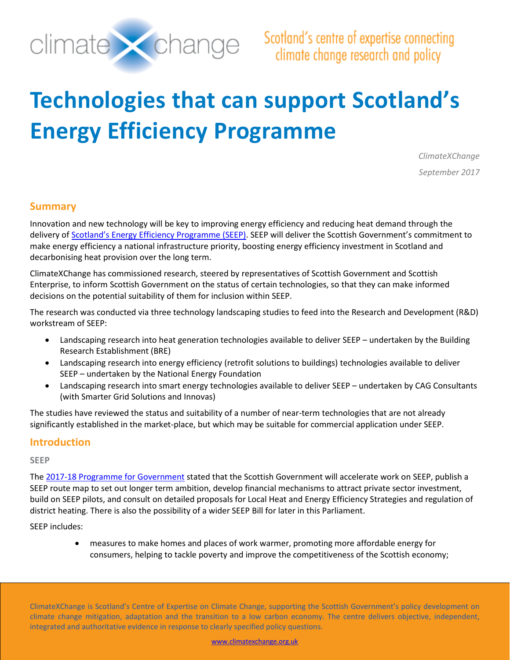

# **Technologies that can support Scotland's Energy Efficiency Programme**

*ClimateXChange September 2017*

# **Summary**

Innovation and new technology will be key to improving energy efficiency and reducing heat demand through the delivery o[f Scotland's Energy Efficiency Programme](http://www.gov.scot/Topics/Business-Industry/Energy/Action/lowcarbon/LCITP/SEEP) (SEEP). SEEP will deliver the Scottish Government's commitment to make energy efficiency a national infrastructure priority, boosting energy efficiency investment in Scotland and decarbonising heat provision over the long term.

ClimateXChange has commissioned research, steered by representatives of Scottish Government and Scottish Enterprise, to inform Scottish Government on the status of certain technologies, so that they can make informed decisions on the potential suitability of them for inclusion within SEEP.

The research was conducted via three technology landscaping studies to feed into the Research and Development (R&D) workstream of SEEP:

- Landscaping research into heat generation technologies available to deliver SEEP undertaken by the Building Research Establishment (BRE)
- Landscaping research into energy efficiency (retrofit solutions to buildings) technologies available to deliver SEEP – undertaken by the National Energy Foundation
- Landscaping research into smart energy technologies available to deliver SEEP undertaken by CAG Consultants (with Smarter Grid Solutions and Innovas)

The studies have reviewed the status and suitability of a number of near-term technologies that are not already significantly established in the market-place, but which may be suitable for commercial application under SEEP.

## **Introduction**

#### **SEEP**

The 2017-18 [Programme for Government](http://www.gov.scot/Resource/0052/00524214.pdf) stated that the Scottish Government will accelerate work on SEEP, publish a SEEP route map to set out longer term ambition, develop financial mechanisms to attract private sector investment, build on SEEP pilots, and consult on detailed proposals for Local Heat and Energy Efficiency Strategies and regulation of district heating. There is also the possibility of a wider SEEP Bill for later in this Parliament.

SEEP includes:

• measures to make homes and places of work warmer, promoting more affordable energy for consumers, helping to tackle poverty and improve the competitiveness of the Scottish economy;

ClimateXChange is Scotland's Centre of Expertise on Climate Change, supporting the Scottish Government's policy development on climate change mitigation, adaptation and the transition to a low carbon economy. The centre delivers objective, independent, integrated and authoritative evidence in response to clearly specified policy questions.

[www.climatexchange.org.uk](file://SNIFFER-DC01/Users/annemarte/CXC/www.climatexchange.org.uk)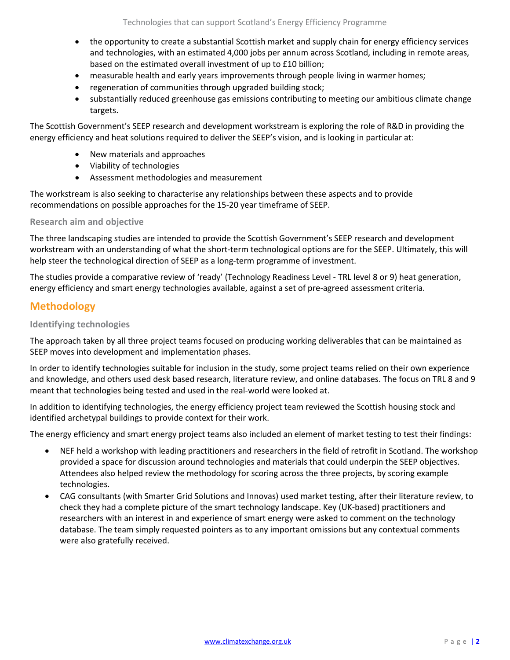- the opportunity to create a substantial Scottish market and supply chain for energy efficiency services and technologies, with an estimated 4,000 jobs per annum across Scotland, including in remote areas, based on the estimated overall investment of up to £10 billion;
- measurable health and early years improvements through people living in warmer homes;
- regeneration of communities through upgraded building stock;
- substantially reduced greenhouse gas emissions contributing to meeting our ambitious climate change targets.

The Scottish Government's SEEP research and development workstream is exploring the role of R&D in providing the energy efficiency and heat solutions required to deliver the SEEP's vision, and is looking in particular at:

- New materials and approaches
- Viability of technologies
- Assessment methodologies and measurement

The workstream is also seeking to characterise any relationships between these aspects and to provide recommendations on possible approaches for the 15-20 year timeframe of SEEP.

#### **Research aim and objective**

The three landscaping studies are intended to provide the Scottish Government's SEEP research and development workstream with an understanding of what the short-term technological options are for the SEEP. Ultimately, this will help steer the technological direction of SEEP as a long-term programme of investment.

The studies provide a comparative review of 'ready' (Technology Readiness Level - TRL level 8 or 9) heat generation, energy efficiency and smart energy technologies available, against a set of pre-agreed assessment criteria.

## **Methodology**

## **Identifying technologies**

The approach taken by all three project teams focused on producing working deliverables that can be maintained as SEEP moves into development and implementation phases.

In order to identify technologies suitable for inclusion in the study, some project teams relied on their own experience and knowledge, and others used desk based research, literature review, and online databases. The focus on TRL 8 and 9 meant that technologies being tested and used in the real-world were looked at.

In addition to identifying technologies, the energy efficiency project team reviewed the Scottish housing stock and identified archetypal buildings to provide context for their work.

The energy efficiency and smart energy project teams also included an element of market testing to test their findings:

- NEF held a workshop with leading practitioners and researchers in the field of retrofit in Scotland. The workshop provided a space for discussion around technologies and materials that could underpin the SEEP objectives. Attendees also helped review the methodology for scoring across the three projects, by scoring example technologies.
- CAG consultants (with Smarter Grid Solutions and Innovas) used market testing, after their literature review, to check they had a complete picture of the smart technology landscape. Key (UK-based) practitioners and researchers with an interest in and experience of smart energy were asked to comment on the technology database. The team simply requested pointers as to any important omissions but any contextual comments were also gratefully received.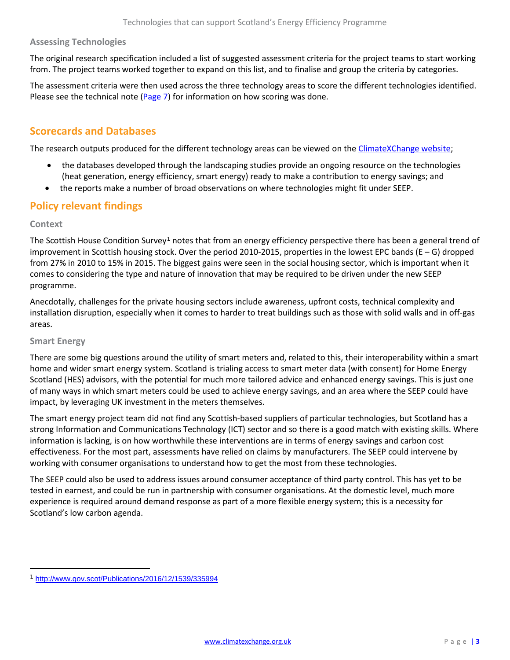## **Assessing Technologies**

The original research specification included a list of suggested assessment criteria for the project teams to start working from. The project teams worked together to expand on this list, and to finalise and group the criteria by categories.

The assessment criteria were then used across the three technology areas to score the different technologies identified. Please see the technical note [\(Page 7\)](#page-4-0) for information on how scoring was done.

# **Scorecards and Databases**

The research outputs produced for the different technology areas can be viewed on the [ClimateXChange website;](http://www.climatexchange.org.uk/reducing-emissions/technologies-can-support-scotlands-energy-efficiency-programme/)

- the databases developed through the landscaping studies provide an ongoing resource on the technologies (heat generation, energy efficiency, smart energy) ready to make a contribution to energy savings; and
- the reports make a number of broad observations on where technologies might fit under SEEP.

# **Policy relevant findings**

#### **Context**

The Scottish House Condition Survey<sup>[1](#page-2-0)</sup> notes that from an energy efficiency perspective there has been a general trend of improvement in Scottish housing stock. Over the period 2010-2015, properties in the lowest EPC bands (E – G) dropped from 27% in 2010 to 15% in 2015. The biggest gains were seen in the social housing sector, which is important when it comes to considering the type and nature of innovation that may be required to be driven under the new SEEP programme.

Anecdotally, challenges for the private housing sectors include awareness, upfront costs, technical complexity and installation disruption, especially when it comes to harder to treat buildings such as those with solid walls and in off-gas areas.

#### **Smart Energy**

 $\overline{\phantom{a}}$ 

There are some big questions around the utility of smart meters and, related to this, their interoperability within a smart home and wider smart energy system. Scotland is trialing access to smart meter data (with consent) for Home Energy Scotland (HES) advisors, with the potential for much more tailored advice and enhanced energy savings. This is just one of many ways in which smart meters could be used to achieve energy savings, and an area where the SEEP could have impact, by leveraging UK investment in the meters themselves.

The smart energy project team did not find any Scottish-based suppliers of particular technologies, but Scotland has a strong Information and Communications Technology (ICT) sector and so there is a good match with existing skills. Where information is lacking, is on how worthwhile these interventions are in terms of energy savings and carbon cost effectiveness. For the most part, assessments have relied on claims by manufacturers. The SEEP could intervene by working with consumer organisations to understand how to get the most from these technologies.

The SEEP could also be used to address issues around consumer acceptance of third party control. This has yet to be tested in earnest, and could be run in partnership with consumer organisations. At the domestic level, much more experience is required around demand response as part of a more flexible energy system; this is a necessity for Scotland's low carbon agenda.

<span id="page-2-0"></span><sup>1</sup> <http://www.gov.scot/Publications/2016/12/1539/335994>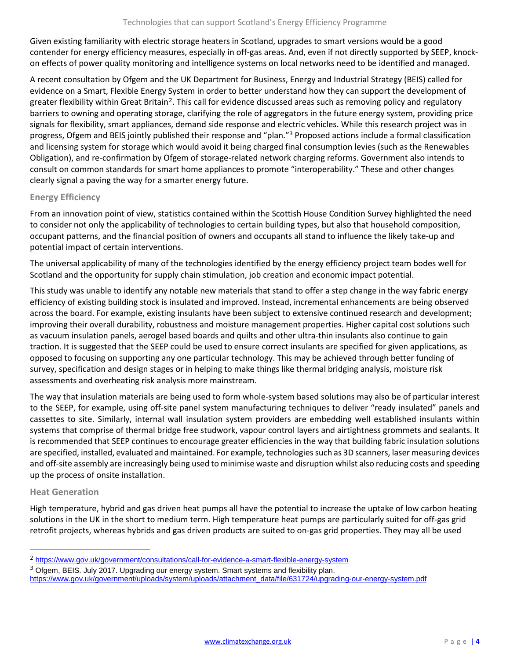Given existing familiarity with electric storage heaters in Scotland, upgrades to smart versions would be a good contender for energy efficiency measures, especially in off-gas areas. And, even if not directly supported by SEEP, knockon effects of power quality monitoring and intelligence systems on local networks need to be identified and managed.

A recent consultation by Ofgem and the UK Department for Business, Energy and Industrial Strategy (BEIS) called for evidence on a Smart, Flexible Energy System in order to better understand how they can support the development of greater flexibility within Great Britain<sup>[2](#page-3-0)</sup>. This call for evidence discussed areas such as removing policy and regulatory barriers to owning and operating storage, clarifying the role of aggregators in the future energy system, providing price signals for flexibility, smart appliances, demand side response and electric vehicles. While this research project was in progress, Ofgem and BEIS jointly published their response and "plan."[3](#page-3-1) Proposed actions include a formal classification and licensing system for storage which would avoid it being charged final consumption levies (such as the Renewables Obligation), and re-confirmation by Ofgem of storage-related network charging reforms. Government also intends to consult on common standards for smart home appliances to promote "interoperability." These and other changes clearly signal a paving the way for a smarter energy future.

## **Energy Efficiency**

From an innovation point of view, statistics contained within the Scottish House Condition Survey highlighted the need to consider not only the applicability of technologies to certain building types, but also that household composition, occupant patterns, and the financial position of owners and occupants all stand to influence the likely take-up and potential impact of certain interventions.

The universal applicability of many of the technologies identified by the energy efficiency project team bodes well for Scotland and the opportunity for supply chain stimulation, job creation and economic impact potential.

This study was unable to identify any notable new materials that stand to offer a step change in the way fabric energy efficiency of existing building stock is insulated and improved. Instead, incremental enhancements are being observed across the board. For example, existing insulants have been subject to extensive continued research and development; improving their overall durability, robustness and moisture management properties. Higher capital cost solutions such as vacuum insulation panels, aerogel based boards and quilts and other ultra-thin insulants also continue to gain traction. It is suggested that the SEEP could be used to ensure correct insulants are specified for given applications, as opposed to focusing on supporting any one particular technology. This may be achieved through better funding of survey, specification and design stages or in helping to make things like thermal bridging analysis, moisture risk assessments and overheating risk analysis more mainstream.

The way that insulation materials are being used to form whole-system based solutions may also be of particular interest to the SEEP, for example, using off-site panel system manufacturing techniques to deliver "ready insulated" panels and cassettes to site. Similarly, internal wall insulation system providers are embedding well established insulants within systems that comprise of thermal bridge free studwork, vapour control layers and airtightness grommets and sealants. It is recommended that SEEP continues to encourage greater efficiencies in the way that building fabric insulation solutions are specified, installed, evaluated and maintained. For example, technologies such as 3D scanners, laser measuring devices and off-site assembly are increasingly being used to minimise waste and disruption whilst also reducing costs and speeding up the process of onsite installation.

#### **Heat Generation**

l

High temperature, hybrid and gas driven heat pumps all have the potential to increase the uptake of low carbon heating solutions in the UK in the short to medium term. High temperature heat pumps are particularly suited for off-gas grid retrofit projects, whereas hybrids and gas driven products are suited to on-gas grid properties. They may all be used

<span id="page-3-0"></span><sup>2</sup> <https://www.gov.uk/government/consultations/call-for-evidence-a-smart-flexible-energy-system>

<span id="page-3-1"></span><sup>&</sup>lt;sup>3</sup> Ofgem, BEIS. July 2017. Upgrading our energy system. Smart systems and flexibility plan.

[https://www.gov.uk/government/uploads/system/uploads/attachment\\_data/file/631724/upgrading-our-energy-system.pdf](https://www.gov.uk/government/uploads/system/uploads/attachment_data/file/631724/upgrading-our-energy-system.pdf)